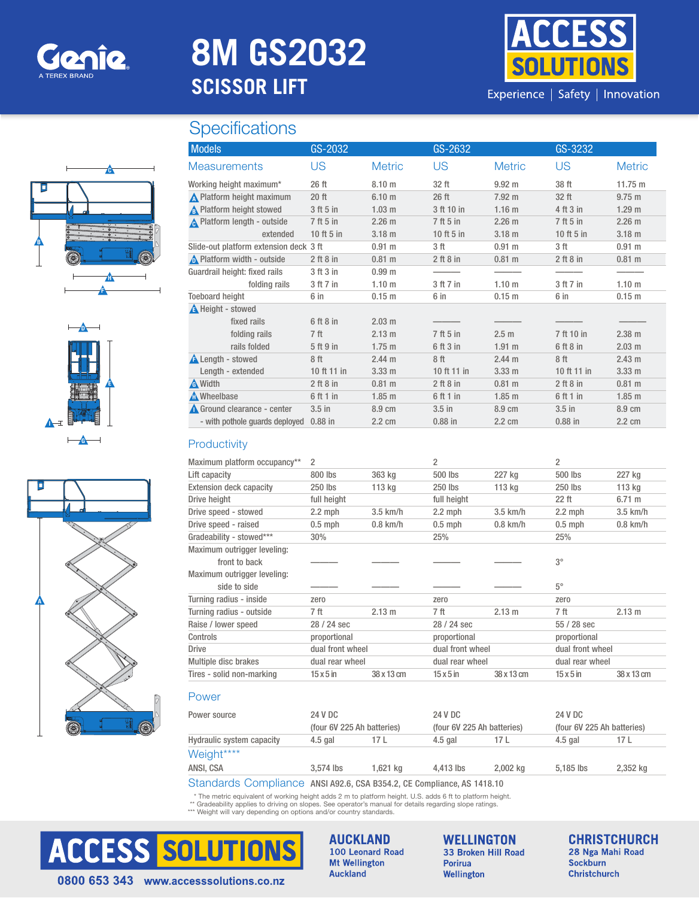

# **8M GS2032 SCISSOR LIFT**



Experience | Safety | Innovation

## **Specifications**







| <b>Models</b>                          | GS-2032       |                   | GS-2632       |                   | GS-3232       |                   |
|----------------------------------------|---------------|-------------------|---------------|-------------------|---------------|-------------------|
| <b>Measurements</b>                    | <b>US</b>     | <b>Metric</b>     | <b>US</b>     | <b>Metric</b>     | US            | <b>Metric</b>     |
| Working height maximum*                | 26 ft         | 8.10 <sub>m</sub> | 32 ft         | $9.92 \text{ m}$  | 38 ft         | 11.75 m           |
| ∧ Platform height maximum              | $20$ ft       | 6.10 <sub>m</sub> | 26 ft         | 7.92 m            | 32 ft         | $9.75 \text{ m}$  |
| A Platform height stowed               | 3 ft 5 in     | $1.03$ m          | 3 ft 10 in    | 1.16 <sub>m</sub> | 4 ft 3 in     | 1.29 <sub>m</sub> |
| <b>A</b> Platform length - outside     | 7 ft 5 in     | $2.26$ m          | 7 ft 5 in     | 2.26 m            | 7 ft 5 in     | $2.26$ m          |
| extended                               | 10 ft 5 in    | $3.18$ m          | 10 ft 5 in    | $3.18$ m          | 10 ft 5 in    | $3.18$ m          |
| Slide-out platform extension deck 3 ft |               | $0.91 \text{ m}$  | 3 ft          | 0.91 m            | 3 ft          | $0.91$ m          |
| $\bigwedge$ Platform width - outside   | $2$ ft $8$ in | $0.81$ m          | $2$ ft $8$ in | $0.81$ m          | $2$ ft $8$ in | $0.81 \text{ m}$  |
| Guardrail height: fixed rails          | 3 ft 3 in     | 0.99 <sub>m</sub> |               |                   |               |                   |
| folding rails                          | 3 ft 7 in     | 1.10 <sub>m</sub> | 3 ft 7 in     | 1.10 <sub>m</sub> | 3 ft 7 in     | 1.10 m            |
| <b>Toeboard height</b>                 | 6 in          | $0.15$ m          | 6 in          | 0.15 m            | 6 in          | 0.15 m            |
| A Height - stowed                      |               |                   |               |                   |               |                   |
| fixed rails                            | 6 ft 8 in     | $2.03$ m          |               |                   |               |                   |
| folding rails                          | 7 ft          | $2.13 \text{ m}$  | 7 ft 5 in     | 2.5 <sub>m</sub>  | 7 ft 10 in    | $2.38 \text{ m}$  |
| rails folded                           | 5 ft 9 in     | $1.75$ m          | 6 ft 3 in     | $1.91$ m          | 6 ft 8 in     | $2.03 \text{ m}$  |
| <b>A</b> Length - stowed               | 8 ft          | $2.44 \text{ m}$  | 8 ft          | 2.44 m            | 8 ft          | 2.43 m            |
| Length - extended                      | 10 ft 11 in   | 3.33 m            | 10 ft 11 in   | $3.33 \text{ m}$  | 10 ft 11 in   | 3.33 m            |
| <b>A</b> Width                         | $2$ ft $8$ in | $0.81$ m          | $2$ ft $8$ in | $0.81 \text{ m}$  | $2$ ft $8$ in | $0.81$ m          |
| Mheelbase                              | 6 ft 1 in     | $1.85$ m          | 6 ft 1 in     | $1.85$ m          | 6 ft 1 in     | $1.85$ m          |
| Ground clearance - center              | $3.5$ in      | 8.9 cm            | $3.5$ in      | 8.9 cm            | $3.5$ in      | 8.9 cm            |
| - with pothole quards deployed         | $0.88$ in     | 2.2 cm            | $0.88$ in     | 2.2 cm            | $0.88$ in     | 2.2 cm            |

### **Productivity**

| Maximum platform occupancy**   | 2                          |            | 2                          |            | 2                          |                  |
|--------------------------------|----------------------------|------------|----------------------------|------------|----------------------------|------------------|
| Lift capacity                  | 800 lbs                    | 363 kg     | 500 lbs                    | 227 kg     | 500 lbs                    | 227 kg           |
| <b>Extension deck capacity</b> | 250 lbs                    | 113 kg     | 250 lbs                    | 113 kg     | 250 lbs                    | 113 kg           |
| Drive height                   | full height                |            | full height                |            | 22 ft                      | $6.71 \text{ m}$ |
| Drive speed - stowed           | $2.2$ mph                  | $3.5$ km/h | $2.2$ mph                  | $3.5$ km/h | $2.2$ mph                  | $3.5$ km/h       |
| Drive speed - raised           | $0.5$ mph                  | $0.8$ km/h | $0.5$ mph                  | $0.8$ km/h | $0.5$ mph                  | $0.8$ km/h       |
| Gradeability - stowed***       | 30%                        |            | 25%                        |            | 25%                        |                  |
| Maximum outrigger leveling:    |                            |            |                            |            |                            |                  |
| front to back                  |                            |            |                            |            | $3^{\circ}$                |                  |
| Maximum outrigger leveling:    |                            |            |                            |            |                            |                  |
| side to side                   |                            |            |                            |            | $5^\circ$                  |                  |
| Turning radius - inside        | zero                       |            | zero                       |            | zero                       |                  |
| Turning radius - outside       | 7 ft                       | 2.13 m     | 7 ft                       | 2.13 m     | 7 ft                       | 2.13 m           |
| Raise / lower speed            | 28 / 24 sec                |            | 28 / 24 sec                |            | 55 / 28 sec                |                  |
| Controls                       | proportional               |            | proportional               |            | proportional               |                  |
| <b>Drive</b>                   | dual front wheel           |            | dual front wheel           |            | dual front wheel           |                  |
| Multiple disc brakes           | dual rear wheel            |            | dual rear wheel            |            | dual rear wheel            |                  |
| Tires - solid non-marking      | $15 \times 5$ in           | 38 x 13 cm | $15 \times 5$ in           | 38 x 13 cm | $15 \times 5$ in           | 38 x 13 cm       |
| Power                          |                            |            |                            |            |                            |                  |
| Power source                   | 24 V DC                    |            | 24 V DC                    |            | 24 V DC                    |                  |
|                                | (four 6V 225 Ah hatteries) |            | (four 6V 225 Ah hatteries) |            | (four 6V 225 Ah hatteries) |                  |

|                           | (four 6V 225 Ah batteries)                                             |          |           | (four 6V 225 Ah batteries) |             | (four 6V 225 Ah batteries) |  |
|---------------------------|------------------------------------------------------------------------|----------|-----------|----------------------------|-------------|----------------------------|--|
| Hydraulic system capacity | $4.5$ gal                                                              | 17 L     | 4.5 gal   | 17 L                       | 4.5 gal     | 17 L                       |  |
| Weight****                |                                                                        |          |           |                            |             |                            |  |
| ANSI. CSA                 | $3.574$ lbs                                                            | 1.621 kg | 4.413 lbs | 2.002 kg                   | $5.185$ lbs | 2.352 kg                   |  |
|                           | Standards Compliance ANSI A92.6, CSA B354.2, CE Compliance, AS 1418.10 |          |           |                            |             |                            |  |

\* The metric equivalent of working height adds 2 m to platform height. U.S. adds 6 ft to platform height.

\*\* Gradeability applies to driving on slopes. See operator's manual for details regarding slope ratings. \*\*\* Weight will vary depending on options and/or country standards.



**AUCKLAND** 100 Leonard Road **Mt Wellington Auckland** 

**WELLINGTON** 33 Broken Hill Road **Porirua** Wellington

**CHRISTCHURCH** 28 Nga Mahi Road **Sockburn** Christchurch

0800 653 343 www.accesssolutions.co.nz